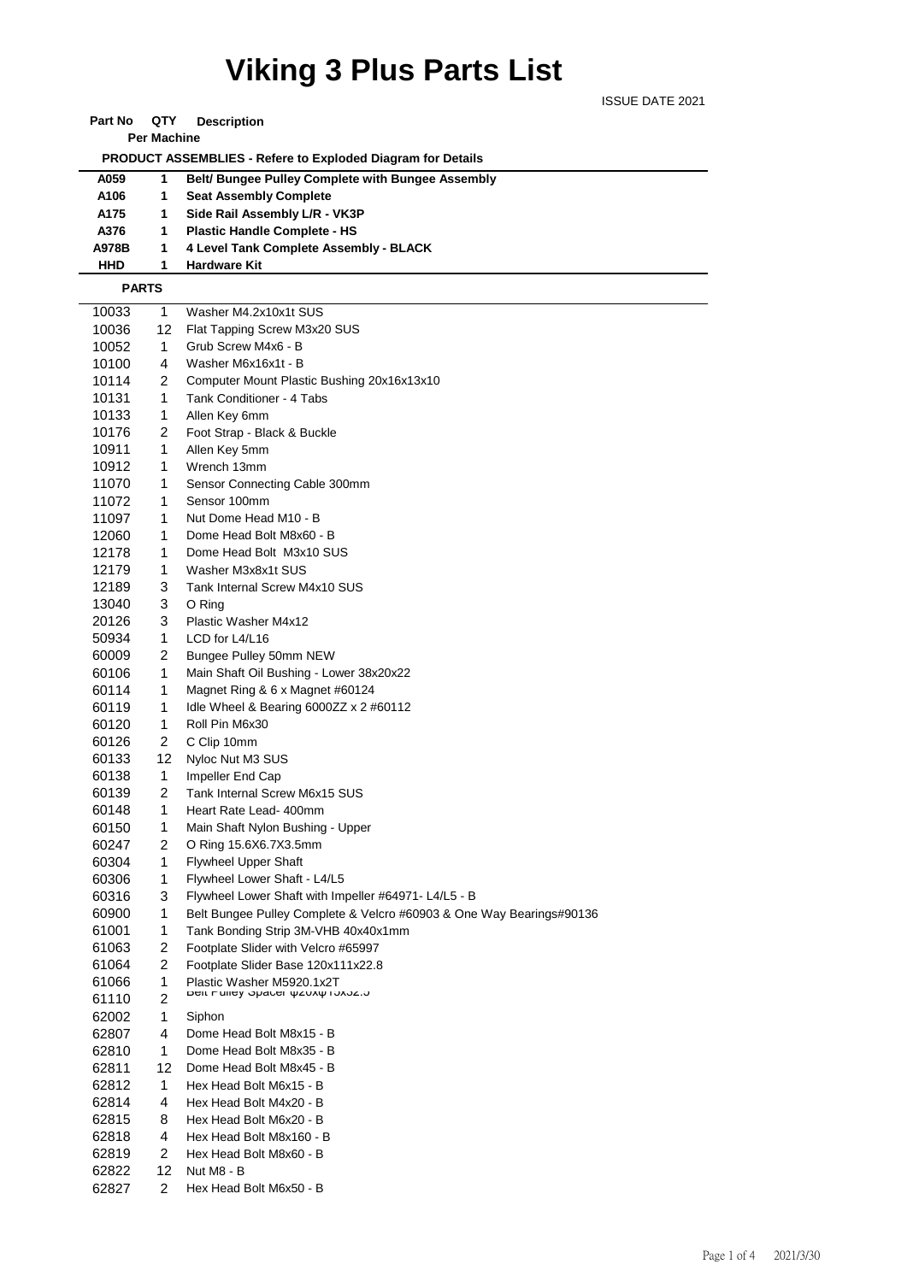## **Viking 3 Plus Parts List**

ISSUE DATE 2021

| Part No | QTY | <b>Description</b> |
|---------|-----|--------------------|
|---------|-----|--------------------|

**Per Machine**

 **PRODUCT ASSEMBLIES - Refere to Exploded Diagram for Details** 

| A059       | 1. | <b>Belt/Bungee Pulley Complete with Bungee Assembly</b> |
|------------|----|---------------------------------------------------------|
| A106       | 1  | <b>Seat Assembly Complete</b>                           |
| A175       |    | Side Rail Assembly L/R - VK3P                           |
| A376       | 1  | <b>Plastic Handle Complete - HS</b>                     |
| A978B      |    | 4 Level Tank Complete Assembly - BLACK                  |
| <b>HHD</b> |    | <b>Hardware Kit</b>                                     |

## **PARTS**

| 10033          |                | Washer M4.2x10x1t SUS                                                |
|----------------|----------------|----------------------------------------------------------------------|
| 10036          | 1<br>12        | Flat Tapping Screw M3x20 SUS                                         |
| 10052          | 1              | Grub Screw M4x6 - B                                                  |
|                | 4              | Washer M6x16x1t - B                                                  |
| 10100          |                |                                                                      |
| 10114          | 2              | Computer Mount Plastic Bushing 20x16x13x10                           |
| 10131          | 1              | Tank Conditioner - 4 Tabs                                            |
| 10133          | 1              | Allen Key 6mm                                                        |
| 10176          | 2              | Foot Strap - Black & Buckle                                          |
| 10911          | 1              | Allen Key 5mm                                                        |
| 10912          | 1              | Wrench 13mm                                                          |
| 11070          | 1              | Sensor Connecting Cable 300mm                                        |
| 11072          | 1              | Sensor 100mm                                                         |
| 11097          | 1              | Nut Dome Head M10 - B                                                |
| 12060          | 1              | Dome Head Bolt M8x60 - B                                             |
| 12178          | 1              | Dome Head Bolt M3x10 SUS                                             |
| 12179          | 1              | Washer M3x8x1t SUS                                                   |
| 12189          | 3              | Tank Internal Screw M4x10 SUS                                        |
| 13040          | 3              | O Ring                                                               |
| 20126          | 3              | Plastic Washer M4x12                                                 |
| 50934          | 1              | LCD for L4/L16                                                       |
| 60009          | 2              | Bungee Pulley 50mm NEW                                               |
| 60106          | 1              | Main Shaft Oil Bushing - Lower 38x20x22                              |
| 60114          | 1              | Magnet Ring & 6 x Magnet #60124                                      |
| 60119          | 1              | Idle Wheel & Bearing 6000ZZ $\times$ 2 #60112                        |
| 60120          | 1              | Roll Pin M6x30                                                       |
| 60126          | 2              | C Clip 10mm                                                          |
| 60133          | 12             | Nyloc Nut M3 SUS                                                     |
| 60138          | 1              | Impeller End Cap                                                     |
| 60139          | 2              | Tank Internal Screw M6x15 SUS                                        |
| 60148          | 1              | Heart Rate Lead- 400mm                                               |
| 60150          | 1              | Main Shaft Nylon Bushing - Upper                                     |
| 60247          | 2              | O Ring 15.6X6.7X3.5mm                                                |
| 60304          | 1              | <b>Flywheel Upper Shaft</b>                                          |
| 60306          | 1              | Flywheel Lower Shaft - L4/L5                                         |
| 60316          | 3              | Flywheel Lower Shaft with Impeller #64971- L4/L5 - B                 |
| 60900          | 1              | Belt Bungee Pulley Complete & Velcro #60903 & One Way Bearings#90136 |
| 61001          | 1              | Tank Bonding Strip 3M-VHB 40x40x1mm                                  |
| 61063          | 2              | Footplate Slider with Velcro #65997                                  |
|                | 2              |                                                                      |
| 61064          | 1              | Footplate Slider Base 120x111x22.8<br>Plastic Washer M5920.1x2T      |
| 61066          | $\overline{c}$ | Delt Ediley Opacer ψΖυλψ Γυλοζ.υ                                     |
| 61110<br>62002 | 1              |                                                                      |
|                |                | Siphon<br>Dome Head Bolt M8x15 - B                                   |
| 62807          | 4              |                                                                      |
| 62810          | 1              | Dome Head Bolt M8x35 - B                                             |
| 62811          | 12             | Dome Head Bolt M8x45 - B                                             |
| 62812          | 1              | Hex Head Bolt M6x15 - B                                              |
| 62814          | 4              | Hex Head Bolt M4x20 - B                                              |
| 62815          | 8              | Hex Head Bolt M6x20 - B                                              |
| 62818          | 4              | Hex Head Bolt M8x160 - B                                             |
| 62819          | $\overline{2}$ | Hex Head Bolt M8x60 - B                                              |
| 62822          | 12             | Nut M8 - B                                                           |
| 62827          | $\overline{2}$ | Hex Head Bolt M6x50 - B                                              |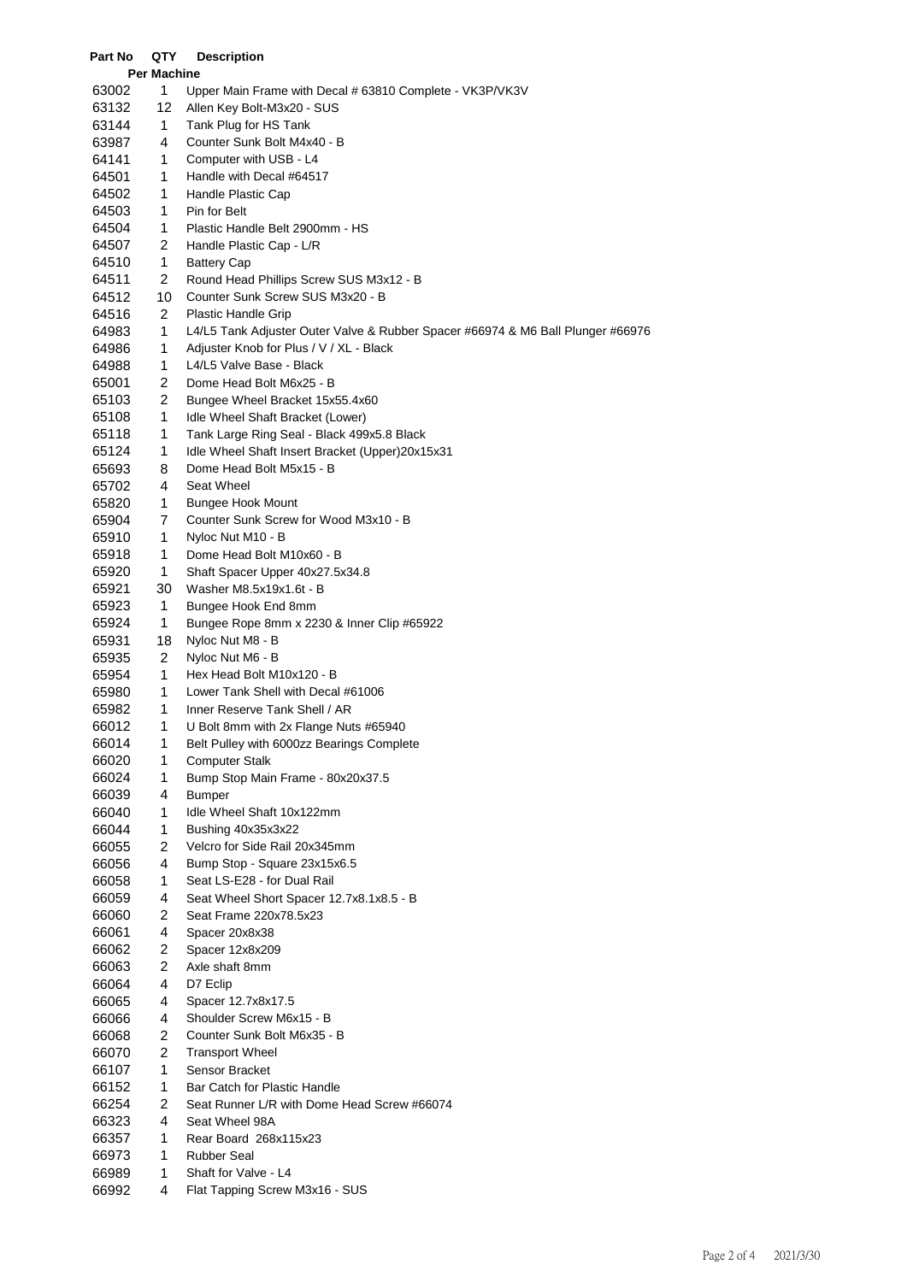| Part No | QTY                | <b>Description</b>                                                              |
|---------|--------------------|---------------------------------------------------------------------------------|
|         | <b>Per Machine</b> |                                                                                 |
| 63002   | 1                  | Upper Main Frame with Decal # 63810 Complete - VK3P/VK3V                        |
| 63132   | 12                 | Allen Key Bolt-M3x20 - SUS                                                      |
| 63144   | 1                  | Tank Plug for HS Tank                                                           |
| 63987   | 4                  | Counter Sunk Bolt M4x40 - B                                                     |
| 64141   | 1                  | Computer with USB - L4                                                          |
| 64501   | 1                  | Handle with Decal #64517                                                        |
| 64502   | 1                  | Handle Plastic Cap                                                              |
| 64503   | 1                  | Pin for Belt                                                                    |
| 64504   | 1                  | Plastic Handle Belt 2900mm - HS                                                 |
| 64507   | 2                  | Handle Plastic Cap - L/R                                                        |
| 64510   | 1                  | <b>Battery Cap</b>                                                              |
| 64511   | 2                  | Round Head Phillips Screw SUS M3x12 - B                                         |
| 64512   | 10                 | Counter Sunk Screw SUS M3x20 - B                                                |
| 64516   | $\overline{2}$     | <b>Plastic Handle Grip</b>                                                      |
| 64983   | 1                  | L4/L5 Tank Adjuster Outer Valve & Rubber Spacer #66974 & M6 Ball Plunger #66976 |
| 64986   | 1                  | Adjuster Knob for Plus / V / XL - Black                                         |
| 64988   | 1                  | L4/L5 Valve Base - Black                                                        |
| 65001   | $\overline{2}$     | Dome Head Bolt M6x25 - B                                                        |
| 65103   | $\overline{2}$     | Bungee Wheel Bracket 15x55.4x60                                                 |
| 65108   | 1                  | Idle Wheel Shaft Bracket (Lower)                                                |
| 65118   | 1                  | Tank Large Ring Seal - Black 499x5.8 Black                                      |
| 65124   | 1                  | Idle Wheel Shaft Insert Bracket (Upper)20x15x31                                 |
| 65693   | 8                  | Dome Head Bolt M5x15 - B                                                        |
| 65702   | 4                  | Seat Wheel                                                                      |
| 65820   | 1                  | <b>Bungee Hook Mount</b>                                                        |
| 65904   | 7                  | Counter Sunk Screw for Wood M3x10 - B                                           |
| 65910   | 1                  | Nyloc Nut M10 - B                                                               |
| 65918   | 1                  | Dome Head Bolt M10x60 - B                                                       |
| 65920   | 1                  | Shaft Spacer Upper 40x27.5x34.8                                                 |
| 65921   | 30                 | Washer M8.5x19x1.6t - B                                                         |
| 65923   | 1                  | Bungee Hook End 8mm                                                             |
| 65924   | 1                  | Bungee Rope 8mm x 2230 & Inner Clip #65922                                      |
| 65931   | 18                 | Nyloc Nut M8 - B                                                                |
| 65935   | $\overline{2}$     | Nyloc Nut M6 - B                                                                |
| 65954   | 1                  | Hex Head Bolt M10x120 - B                                                       |
| 65980   | 1                  | Lower Tank Shell with Decal #61006                                              |
| 65982   | 1                  | Inner Reserve Tank Shell / AR                                                   |
| 66012   | 1                  | U Bolt 8mm with 2x Flange Nuts #65940                                           |
| 66014   | 1                  | Belt Pulley with 6000zz Bearings Complete                                       |
| 66020   | 1                  | <b>Computer Stalk</b>                                                           |
| 66024   | $\mathbf{1}$       | Bump Stop Main Frame - 80x20x37.5                                               |
| 66039   | 4                  | <b>Bumper</b>                                                                   |
| 66040   | 1                  | Idle Wheel Shaft 10x122mm                                                       |
| 66044   | 1                  | Bushing 40x35x3x22                                                              |
| 66055   | 2                  | Velcro for Side Rail 20x345mm                                                   |
| 66056   | 4                  | Bump Stop - Square 23x15x6.5                                                    |
| 66058   | 1                  | Seat LS-E28 - for Dual Rail                                                     |
| 66059   | 4                  | Seat Wheel Short Spacer 12.7x8.1x8.5 - B                                        |
| 66060   | 2                  | Seat Frame 220x78.5x23                                                          |
| 66061   | 4                  | Spacer 20x8x38                                                                  |
| 66062   | 2                  | Spacer 12x8x209                                                                 |
| 66063   | $\overline{c}$     | Axle shaft 8mm                                                                  |
| 66064   | 4                  | D7 Eclip                                                                        |
| 66065   | 4                  | Spacer 12.7x8x17.5                                                              |
| 66066   | 4                  | Shoulder Screw M6x15 - B                                                        |
| 66068   | 2                  | Counter Sunk Bolt M6x35 - B                                                     |
| 66070   | 2                  | <b>Transport Wheel</b>                                                          |
| 66107   | $\mathbf{1}$       | Sensor Bracket                                                                  |
| 66152   | 1                  | Bar Catch for Plastic Handle                                                    |
| 66254   | 2                  | Seat Runner L/R with Dome Head Screw #66074                                     |
| 66323   | 4                  | Seat Wheel 98A                                                                  |
| 66357   | 1                  | Rear Board 268x115x23                                                           |
| 66973   | 1<br>1             | <b>Rubber Seal</b>                                                              |
| 66989   | 4                  | Shaft for Valve - L4                                                            |
| 66992   |                    | Flat Tapping Screw M3x16 - SUS                                                  |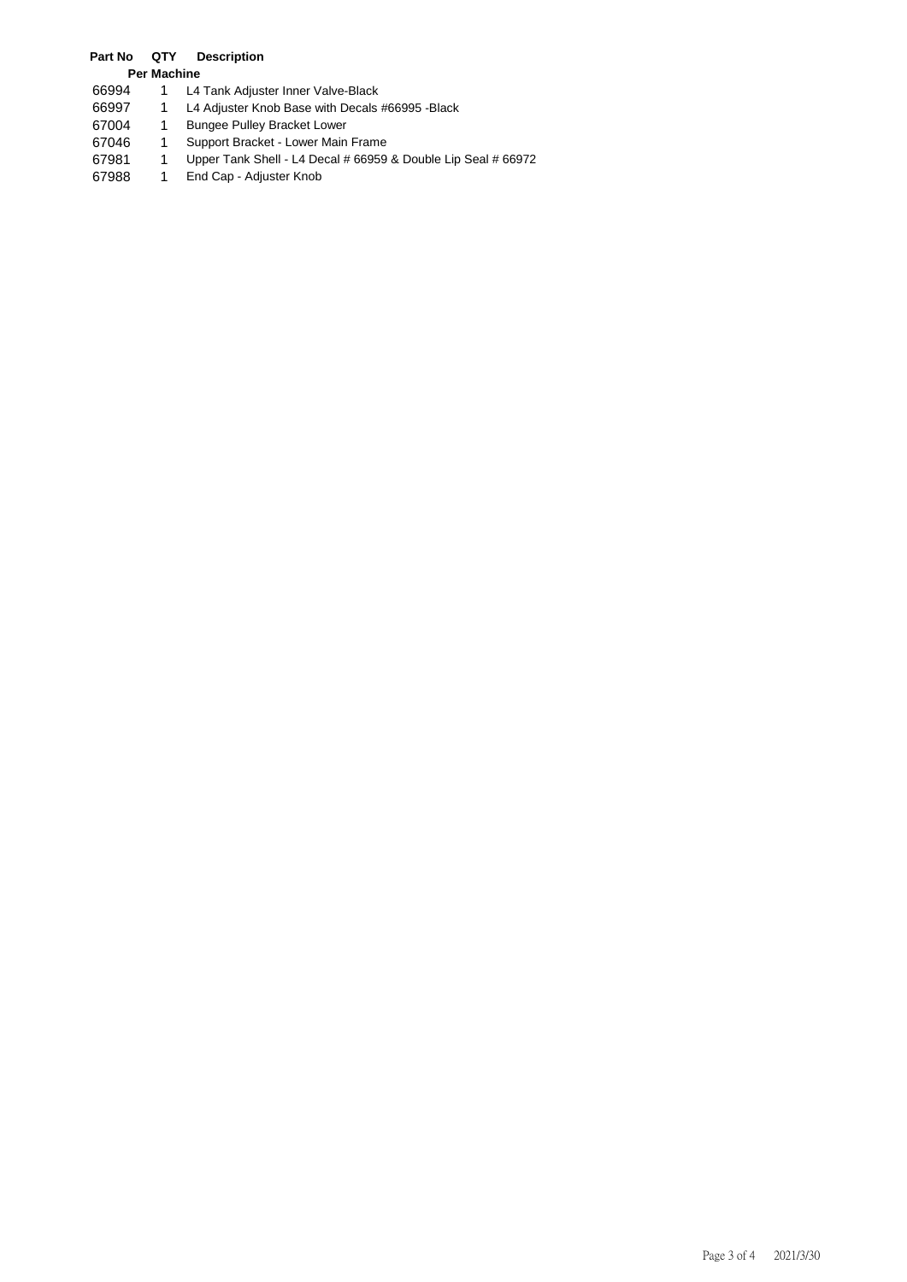## **Part No QTY Description**

- **Per Machine**
- 66994 1 L4 Tank Adjuster Inner Valve-Black<br>66997 1 L4 Adjuster Knob Base with Decals
- 66997 1 L4 Adjuster Knob Base with Decals #66995 -Black
- 67004 1 Bungee Pulley Bracket Lower<br>67046 1 Support Bracket Lower Main
- 67046 1 Support Bracket Lower Main Frame<br>67981 1 Upper Tank Shell L4 Decal # 66959
- 67981 1 Upper Tank Shell L4 Decal # 66959 & Double Lip Seal # 66972<br>67988 1 End Cap Adjuster Knob
- 1 End Cap Adjuster Knob